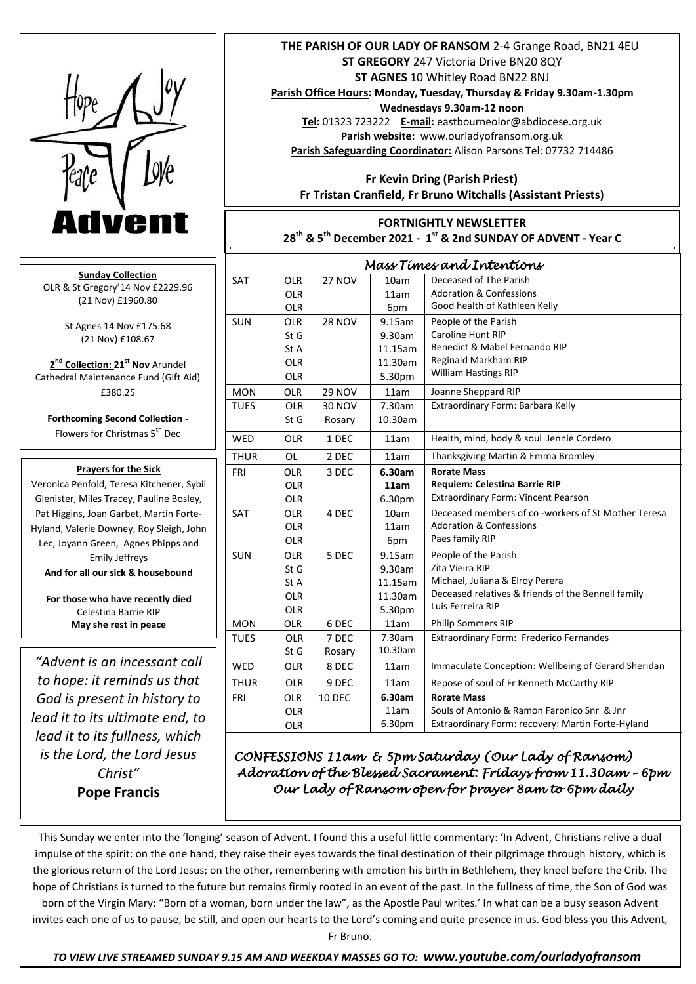

**Sunday Collection** OLR & St Gregory'14 Nov £2229.96 (21 Nov) £1960.80

> St Agnes 14 Nov £175.68 (21 Nov) £108.67

**2 nd Collection: 21st Nov** Arundel Cathedral Maintenance Fund (Gift Aid) £380.25

**Forthcoming Second Collection -** Flowers for Christmas 5<sup>th</sup> Dec

## **Prayers for the Sick**

Pat Higgins, Joan Garbet, Martin Forte-Veronica Penfold, Teresa Kitchener, Sybil Glenister, Miles Tracey, Pauline Bosley, Hyland, Valerie Downey, Roy Sleigh, John Lec, Joyann Green, Agnes Phipps and Emily Jeffreys **And for all our sick & housebound**

**For those who have recently died** Celestina Barrie RIP **May she rest in peace**

*"Advent is an incessant call to hope: it reminds us that God is present in history to lead it to its ultimate end, to lead it to its fullness, which is the Lord, the Lord Jesus Christ"*  **Pope Francis**

## **THE PARISH OF OUR LADY OF RANSOM** 2-4 Grange Road, BN21 4EU **ST GREGORY** 247 Victoria Drive BN20 8QY **ST AGNES** 10 Whitley Road BN22 8NJ

**Parish Office Hours: Monday, Tuesday, Thursday & Friday 9.30am-1.30pm Wednesdays 9.30am-12 noon**

**Tel:** 01323 723222 **E-mail:** eastbourneolor@abdiocese.org.uk **Parish website:** [www.ourladyofransom.org.uk](http://www.ourladyofransom.org.uk/) **Parish Safeguarding Coordinator:** Alison Parsons Tel: 07732 714486

 **Fr Kevin Dring (Parish Priest) Fr Tristan Cranfield, Fr Bruno Witchalls (Assistant Priests)**

**FORTNIGHTLY NEWSLETTER 28th & 5 th December 2021 - 1 st & 2nd SUNDAY OF ADVENT - Year C**

| Mass Times and Intentions |            |               |         |                                                     |
|---------------------------|------------|---------------|---------|-----------------------------------------------------|
| <b>SAT</b>                | <b>OLR</b> | <b>27 NOV</b> | 10am    | Deceased of The Parish                              |
|                           | <b>OLR</b> |               | 11am    | <b>Adoration &amp; Confessions</b>                  |
|                           | <b>OLR</b> |               | 6pm     | Good health of Kathleen Kelly                       |
| <b>SUN</b>                | <b>OLR</b> | <b>28 NOV</b> | 9.15am  | People of the Parish                                |
|                           | StG        |               | 9.30am  | Caroline Hunt RIP                                   |
|                           | St A       |               | 11.15am | Benedict & Mabel Fernando RIP                       |
|                           | <b>OLR</b> |               | 11.30am | Reginald Markham RIP                                |
|                           | <b>OLR</b> |               | 5.30pm  | <b>William Hastings RIP</b>                         |
| <b>MON</b>                | <b>OLR</b> | <b>29 NOV</b> | 11am    | Joanne Sheppard RIP                                 |
| <b>TUES</b>               | <b>OLR</b> | 30 NOV        | 7.30am  | Extraordinary Form: Barbara Kelly                   |
|                           | St G       | Rosary        | 10.30am |                                                     |
| <b>WED</b>                | <b>OLR</b> | 1 DEC         | 11am    | Health, mind, body & soul Jennie Cordero            |
| <b>THUR</b>               | <b>OL</b>  | 2 DEC         | 11am    | Thanksgiving Martin & Emma Bromley                  |
| FRI                       | <b>OLR</b> | 3 DEC         | 6.30am  | <b>Rorate Mass</b>                                  |
|                           | <b>OLR</b> |               | 11am    | <b>Requiem: Celestina Barrie RIP</b>                |
|                           | <b>OLR</b> |               | 6.30pm  | <b>Extraordinary Form: Vincent Pearson</b>          |
| <b>SAT</b>                | <b>OLR</b> | 4 DEC         | 10am    | Deceased members of co -workers of St Mother Teresa |
|                           | <b>OLR</b> |               | 11am    | <b>Adoration &amp; Confessions</b>                  |
|                           | <b>OLR</b> |               | 6pm     | Paes family RIP                                     |
| <b>SUN</b>                | <b>OLR</b> | 5 DEC         | 9.15am  | People of the Parish                                |
|                           | St G       |               | 9.30am  | Zita Vieira RIP                                     |
|                           | St A       |               | 11.15am | Michael, Juliana & Elroy Perera                     |
|                           | <b>OLR</b> |               | 11.30am | Deceased relatives & friends of the Bennell family  |
|                           | <b>OLR</b> |               | 5.30pm  | Luis Ferreira RIP                                   |
| <b>MON</b>                | <b>OLR</b> | 6 DEC         | 11am    | Philip Sommers RIP                                  |
| <b>TUES</b>               | <b>OLR</b> | 7 DEC         | 7.30am  | Extraordinary Form: Frederico Fernandes             |
|                           | St G       | Rosary        | 10.30am |                                                     |
| <b>WED</b>                | <b>OLR</b> | 8 DEC         | 11am    | Immaculate Conception: Wellbeing of Gerard Sheridan |
| <b>THUR</b>               | <b>OLR</b> | 9 DEC         | 11am    | Repose of soul of Fr Kenneth McCarthy RIP           |
| <b>FRI</b>                | <b>OLR</b> | <b>10 DEC</b> | 6.30am  | <b>Rorate Mass</b>                                  |
|                           | <b>OLR</b> |               | 11am    | Souls of Antonio & Ramon Faronico Snr & Jnr         |
|                           | OLR        |               | 6.30pm  | Extraordinary Form: recovery: Martin Forte-Hyland   |

*CONFESSIONS 11am & 5pm Saturday (Our Lady of Ransom) Adoration of the Blessed Sacrament: Fridays from 11.30am – 6pm Our Lady of Ransom open for prayer 8am to 6pm daily* 

This Sunday we enter into the 'longing' season of Advent. I found this a useful little commentary: 'In Advent, Christians relive a dual impulse of the spirit: on the one hand, they raise their eyes towards the final destination of their pilgrimage through history, which is the glorious return of the Lord Jesus; on the other, remembering with emotion his birth in Bethlehem, they kneel before the Crib. The hope of Christians is turned to the future but remains firmly rooted in an event of the past. In the fullness of time, the Son of God was born of the Virgin Mary: "Born of a woman, born under the law", as the Apostle Paul writes.' In what can be a busy season Advent invites each one of us to pause, be still, and open our hearts to the Lord's coming and quite presence in us. God bless you this Advent,

Fr Bruno.

 *TO VIEW LIVE STREAMED SUNDAY 9.15 AM AND WEEKDAY MASSES GO TO: www.youtube.com/ourladyofransom*